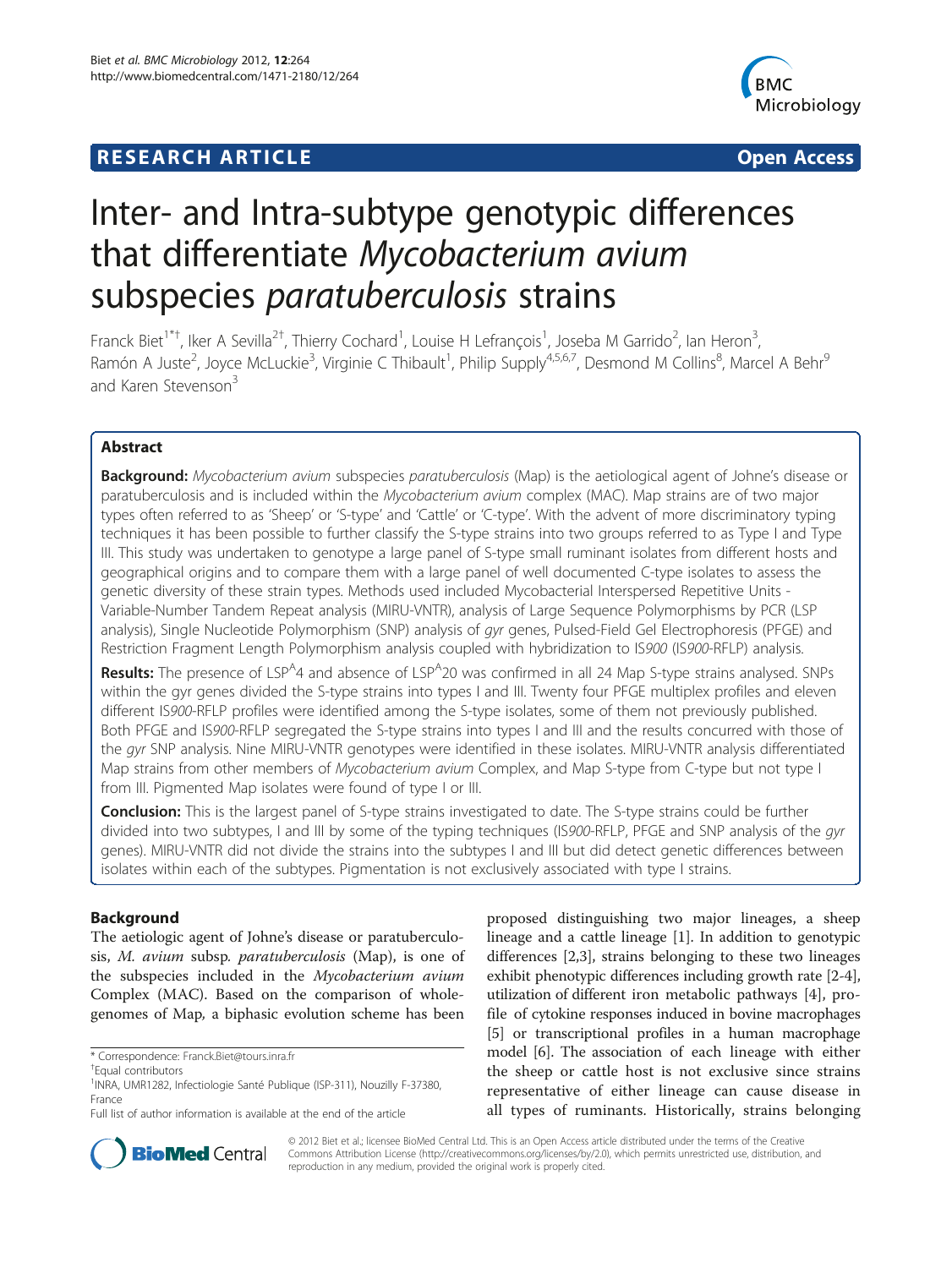# **RESEARCH ARTICLE Example 2014 12:30 The SEAR CHA RESEARCH ARTICLE**



# Inter- and Intra-subtype genotypic differences that differentiate Mycobacterium avium subspecies *paratuberculosis* strains

Franck Biet<sup>1\*†</sup>, Iker A Sevilla<sup>2†</sup>, Thierry Cochard<sup>1</sup>, Louise H Lefrançois<sup>1</sup>, Joseba M Garrido<sup>2</sup>, Ian Heron<sup>3</sup> , Ramón A Juste<sup>2</sup>, Joyce McLuckie<sup>3</sup>, Virginie C Thibault<sup>1</sup>, Philip Supply<sup>4,5,6,7</sup>, Desmond M Collins<sup>8</sup>, Marcel A Behr<sup>9</sup> and Karen Stevenson<sup>3</sup>

# Abstract

Background: Mycobacterium avium subspecies paratuberculosis (Map) is the aetiological agent of Johne's disease or paratuberculosis and is included within the Mycobacterium avium complex (MAC). Map strains are of two major types often referred to as 'Sheep' or 'S-type' and 'Cattle' or 'C-type'. With the advent of more discriminatory typing techniques it has been possible to further classify the S-type strains into two groups referred to as Type I and Type III. This study was undertaken to genotype a large panel of S-type small ruminant isolates from different hosts and geographical origins and to compare them with a large panel of well documented C-type isolates to assess the genetic diversity of these strain types. Methods used included Mycobacterial Interspersed Repetitive Units - Variable-Number Tandem Repeat analysis (MIRU-VNTR), analysis of Large Sequence Polymorphisms by PCR (LSP analysis), Single Nucleotide Polymorphism (SNP) analysis of gyr genes, Pulsed-Field Gel Electrophoresis (PFGE) and Restriction Fragment Length Polymorphism analysis coupled with hybridization to IS900 (IS900-RFLP) analysis.

Results: The presence of LSP<sup>A</sup>4 and absence of LSP<sup>A</sup>20 was confirmed in all 24 Map S-type strains analysed. SNPs within the gyr genes divided the S-type strains into types I and III. Twenty four PFGE multiplex profiles and eleven different IS900-RFLP profiles were identified among the S-type isolates, some of them not previously published. Both PFGE and IS900-RFLP segregated the S-type strains into types I and III and the results concurred with those of the gyr SNP analysis. Nine MIRU-VNTR genotypes were identified in these isolates. MIRU-VNTR analysis differentiated Map strains from other members of Mycobacterium avium Complex, and Map S-type from C-type but not type I from III. Pigmented Map isolates were found of type I or III.

**Conclusion:** This is the largest panel of S-type strains investigated to date. The S-type strains could be further divided into two subtypes, I and III by some of the typing techniques (IS900-RFLP, PFGE and SNP analysis of the gyr genes). MIRU-VNTR did not divide the strains into the subtypes I and III but did detect genetic differences between isolates within each of the subtypes. Pigmentation is not exclusively associated with type I strains.

# Background

The aetiologic agent of Johne's disease or paratuberculosis, M. avium subsp. paratuberculosis (Map), is one of the subspecies included in the Mycobacterium avium Complex (MAC). Based on the comparison of wholegenomes of Map, a biphasic evolution scheme has been

\* Correspondence: [Franck.Biet@tours.inra.fr](mailto:Franck.Biet@tours.inra.fr) †

proposed distinguishing two major lineages, a sheep lineage and a cattle lineage [\[1](#page-10-0)]. In addition to genotypic differences [[2,3\]](#page-10-0), strains belonging to these two lineages exhibit phenotypic differences including growth rate [\[2](#page-10-0)-[4](#page-10-0)], utilization of different iron metabolic pathways [\[4](#page-10-0)], profile of cytokine responses induced in bovine macrophages [[5\]](#page-10-0) or transcriptional profiles in a human macrophage model [[6\]](#page-10-0). The association of each lineage with either the sheep or cattle host is not exclusive since strains representative of either lineage can cause disease in all types of ruminants. Historically, strains belonging



© 2012 Biet et al.; licensee BioMed Central Ltd. This is an Open Access article distributed under the terms of the Creative Commons Attribution License [\(http://creativecommons.org/licenses/by/2.0\)](http://creativecommons.org/licenses/by/2.0), which permits unrestricted use, distribution, and reproduction in any medium, provided the original work is properly cited.

<sup>&</sup>lt;sup>+</sup>Fqual contributors

<sup>&</sup>lt;sup>1</sup>INRA, UMR1282, Infectiologie Santé Publique (ISP-311), Nouzilly F-37380, France

Full list of author information is available at the end of the article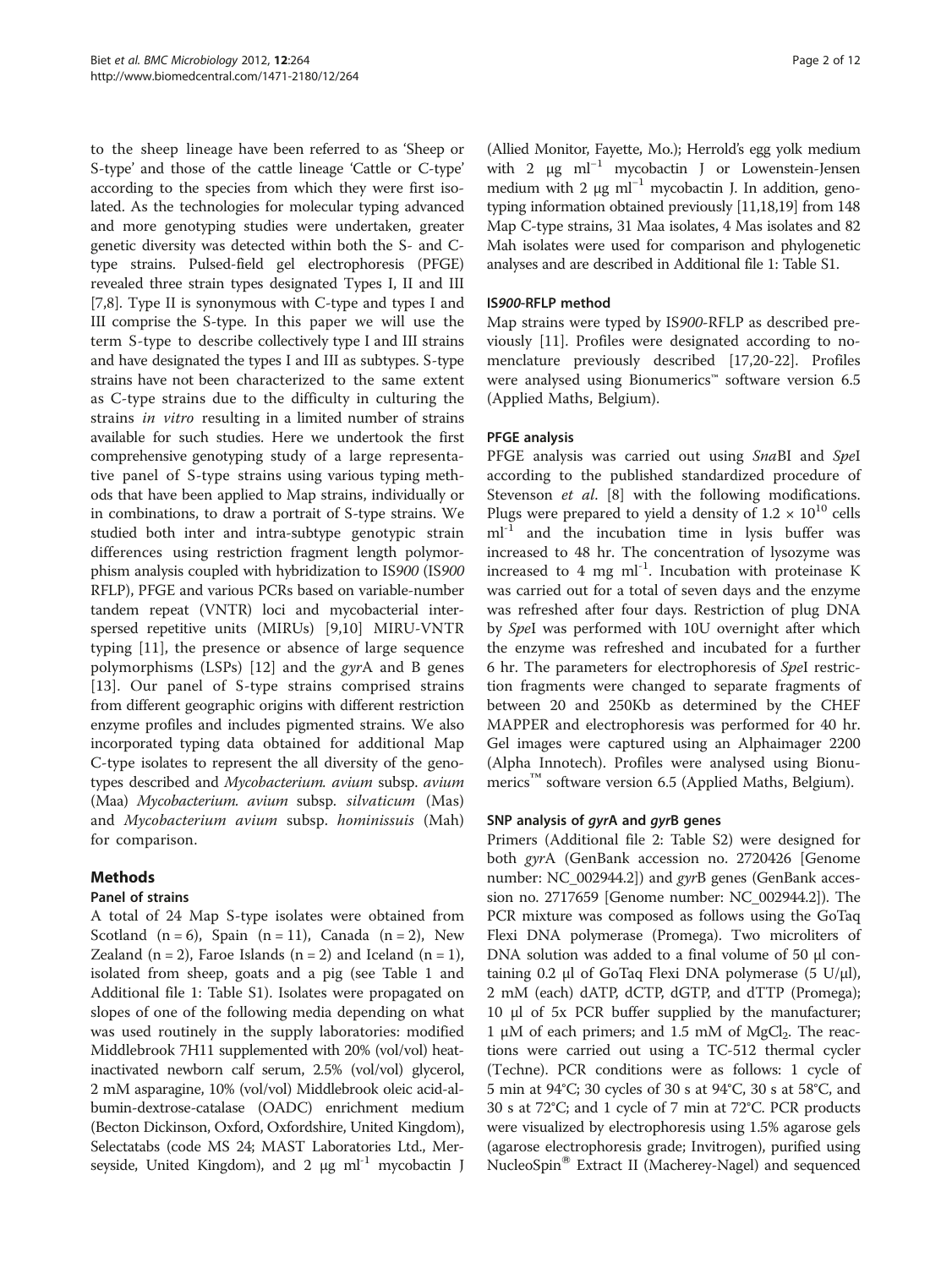to the sheep lineage have been referred to as 'Sheep or S-type' and those of the cattle lineage 'Cattle or C-type' according to the species from which they were first isolated. As the technologies for molecular typing advanced and more genotyping studies were undertaken, greater genetic diversity was detected within both the S- and Ctype strains. Pulsed-field gel electrophoresis (PFGE) revealed three strain types designated Types I, II and III [[7,8](#page-10-0)]. Type II is synonymous with C-type and types I and III comprise the S-type. In this paper we will use the term S-type to describe collectively type I and III strains and have designated the types I and III as subtypes. S-type strains have not been characterized to the same extent as C-type strains due to the difficulty in culturing the strains in vitro resulting in a limited number of strains available for such studies. Here we undertook the first comprehensive genotyping study of a large representative panel of S-type strains using various typing methods that have been applied to Map strains, individually or in combinations, to draw a portrait of S-type strains. We studied both inter and intra-subtype genotypic strain differences using restriction fragment length polymorphism analysis coupled with hybridization to IS900 (IS900 RFLP), PFGE and various PCRs based on variable-number tandem repeat (VNTR) loci and mycobacterial interspersed repetitive units (MIRUs) [[9,10](#page-10-0)] MIRU-VNTR typing [[11\]](#page-10-0), the presence or absence of large sequence polymorphisms (LSPs) [\[12](#page-11-0)] and the gyrA and B genes [[13\]](#page-11-0). Our panel of S-type strains comprised strains from different geographic origins with different restriction enzyme profiles and includes pigmented strains. We also incorporated typing data obtained for additional Map C-type isolates to represent the all diversity of the genotypes described and Mycobacterium. avium subsp. avium (Maa) Mycobacterium. avium subsp. silvaticum (Mas) and Mycobacterium avium subsp. hominissuis (Mah) for comparison.

# Methods

# Panel of strains

A total of 24 Map S-type isolates were obtained from Scotland  $(n = 6)$ , Spain  $(n = 11)$ , Canada  $(n = 2)$ , New Zealand  $(n = 2)$ , Faroe Islands  $(n = 2)$  and Iceland  $(n = 1)$ , isolated from sheep, goats and a pig (see Table [1](#page-2-0) and Additional file [1](#page-10-0): Table S1). Isolates were propagated on slopes of one of the following media depending on what was used routinely in the supply laboratories: modified Middlebrook 7H11 supplemented with 20% (vol/vol) heatinactivated newborn calf serum, 2.5% (vol/vol) glycerol, 2 mM asparagine, 10% (vol/vol) Middlebrook oleic acid-albumin-dextrose-catalase (OADC) enrichment medium (Becton Dickinson, Oxford, Oxfordshire, United Kingdom), Selectatabs (code MS 24; MAST Laboratories Ltd., Merseyside, United Kingdom), and 2  $\mu$ g ml<sup>-1</sup> mycobactin J

(Allied Monitor, Fayette, Mo.); Herrold's egg yolk medium with 2 μg ml<sup>-1</sup> mycobactin J or Lowenstein-Jensen medium with 2  $\mu$ g ml<sup>-1</sup> mycobactin J. In addition, genotyping information obtained previously [\[11,](#page-10-0)[18,19\]](#page-11-0) from 148 Map C-type strains, 31 Maa isolates, 4 Mas isolates and 82 Mah isolates were used for comparison and phylogenetic analyses and are described in Additional file [1](#page-10-0): Table S1.

# IS900-RFLP method

Map strains were typed by IS900-RFLP as described previously [[11\]](#page-10-0). Profiles were designated according to nomenclature previously described [\[17,20](#page-11-0)-[22](#page-11-0)]. Profiles were analysed using Bionumerics™ software version 6.5 (Applied Maths, Belgium).

# PFGE analysis

PFGE analysis was carried out using SnaBI and SpeI according to the published standardized procedure of Stevenson et al. [[8\]](#page-10-0) with the following modifications. Plugs were prepared to yield a density of  $1.2 \times 10^{10}$  cells  $ml<sup>-1</sup>$  and the incubation time in lysis buffer was increased to 48 hr. The concentration of lysozyme was increased to 4 mg  $ml^{-1}$ . Incubation with proteinase K was carried out for a total of seven days and the enzyme was refreshed after four days. Restriction of plug DNA by SpeI was performed with 10U overnight after which the enzyme was refreshed and incubated for a further 6 hr. The parameters for electrophoresis of SpeI restriction fragments were changed to separate fragments of between 20 and 250Kb as determined by the CHEF MAPPER and electrophoresis was performed for 40 hr. Gel images were captured using an Alphaimager 2200 (Alpha Innotech). Profiles were analysed using Bionumerics<sup>™</sup> software version 6.5 (Applied Maths, Belgium).

# SNP analysis of *gyrA* and *gyrB* genes

Primers (Additional file [2](#page-10-0): Table S2) were designed for both gyrA (GenBank accession no. 2720426 [Genome number: NC\_002944.2]) and gyrB genes (GenBank accession no. 2717659 [Genome number: NC\_002944.2]). The PCR mixture was composed as follows using the GoTaq Flexi DNA polymerase (Promega). Two microliters of DNA solution was added to a final volume of 50 μl containing 0.2 μl of GoTaq Flexi DNA polymerase  $(5 \text{ U/μl})$ , 2 mM (each) dATP, dCTP, dGTP, and dTTP (Promega); 10 μl of 5x PCR buffer supplied by the manufacturer; 1 μM of each primers; and 1.5 mM of MgCl<sub>2</sub>. The reactions were carried out using a TC-512 thermal cycler (Techne). PCR conditions were as follows: 1 cycle of 5 min at 94°C; 30 cycles of 30 s at 94°C, 30 s at 58°C, and 30 s at 72°C; and 1 cycle of 7 min at 72°C. PCR products were visualized by electrophoresis using 1.5% agarose gels (agarose electrophoresis grade; Invitrogen), purified using NucleoSpin® Extract II (Macherey-Nagel) and sequenced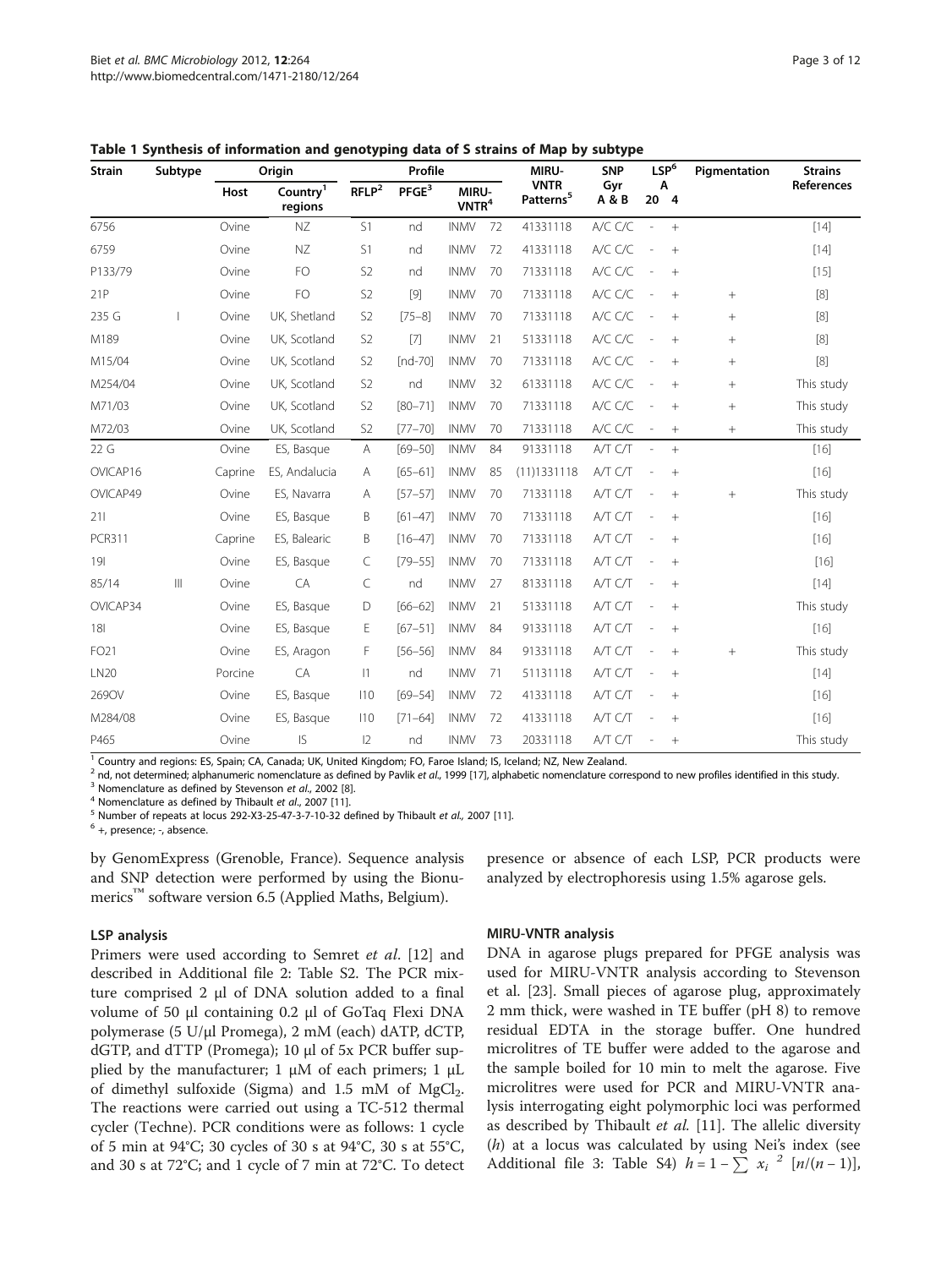| <b>Strain</b> | Subtype | Origin  |                                 | Profile           |                   |                          | MIRU- | <b>SNP</b>                           | LSP <sup>6</sup> |                          | Pigmentation | <b>Strains</b>  |                                                                                                                                                                                                                                                                                    |
|---------------|---------|---------|---------------------------------|-------------------|-------------------|--------------------------|-------|--------------------------------------|------------------|--------------------------|--------------|-----------------|------------------------------------------------------------------------------------------------------------------------------------------------------------------------------------------------------------------------------------------------------------------------------------|
|               |         | Host    | Country <sup>1</sup><br>regions | RFLP <sup>2</sup> | PFGE <sup>3</sup> | MIRU-<br>$V\text{NTR}^4$ |       | <b>VNTR</b><br>Patterns <sup>5</sup> | Gyr<br>A & B     | Α<br>20 4                |              |                 | References                                                                                                                                                                                                                                                                         |
| 6756          |         | Ovine   | $\mathsf{N}\mathsf{Z}$          | S1                | nd                | <b>INMV</b>              | 72    | 41331118                             | A/C C/C          | $\overline{\phantom{a}}$ | $+$          |                 | $[14]$                                                                                                                                                                                                                                                                             |
| 6759          |         | Ovine   | $\mathsf{N}\mathsf{Z}$          | S1                | nd                | <b>INMV</b>              | 72    | 41331118                             | A/C C/C          |                          | $+$          |                 | $[14]$                                                                                                                                                                                                                                                                             |
| P133/79       |         | Ovine   | FO                              | S <sub>2</sub>    | nd                | <b>INMV</b>              | 70    | 71331118                             | A/C C/C          |                          | $+$          |                 | $[15]$                                                                                                                                                                                                                                                                             |
| 21P           |         | Ovine   | FO                              | S <sub>2</sub>    | $[9]$             | <b>INMV</b>              | 70    | 71331118                             | A/C C/C          |                          | $+$          | $^{+}$          | $[8]$                                                                                                                                                                                                                                                                              |
| 235 G         |         | Ovine   | UK, Shetland                    | S <sub>2</sub>    | $[75 - 8]$        | <b>INMV</b>              | 70    | 71331118                             | A/C C/C          |                          | $+$          | $+$             | $[8]$                                                                                                                                                                                                                                                                              |
| M189          |         | Ovine   | UK, Scotland                    | S <sub>2</sub>    | $[7]$             | <b>INMV</b>              | 21    | 51331118                             | A/C C/C          |                          | $+$          | $^{+}$          | $[8]$                                                                                                                                                                                                                                                                              |
| M15/04        |         | Ovine   | UK, Scotland                    | S <sub>2</sub>    | $[nd-70]$         | <b>INMV</b>              | 70    | 71331118                             | A/C C/C          |                          | $^{+}$       | $^{+}$          | $[8] % \begin{center} \includegraphics[width=0.3\textwidth]{images/TrDiM-Architecture.png} \end{center} % \vspace*{-1em} \caption{The image shows the number of different types of the image. The left is the number of the image.} \vspace*{-1em} \label{fig:TrDiM-Architecture}$ |
| M254/04       |         | Ovine   | UK, Scotland                    | S <sub>2</sub>    | nd                | <b>INMV</b>              | 32    | 61331118                             | A/C C/C          |                          | $+$          | $\! + \!\!\!\!$ | This study                                                                                                                                                                                                                                                                         |
| M71/03        |         | Ovine   | UK, Scotland                    | S <sub>2</sub>    | $[80 - 71]$       | <b>INMV</b>              | 70    | 71331118                             | A/C C/C          |                          | $+$          | $^+$            | This study                                                                                                                                                                                                                                                                         |
| M72/03        |         | Ovine   | UK, Scotland                    | S <sub>2</sub>    | $[77 - 70]$       | <b>INMV</b>              | 70    | 71331118                             | A/C C/C          | $\overline{\phantom{a}}$ | $+$          | $+$             | This study                                                                                                                                                                                                                                                                         |
| 22 G          |         | Ovine   | ES, Basque                      | Α                 | $[69 - 50]$       | <b>INMV</b>              | 84    | 91331118                             | A/T C/T          |                          | $+$          |                 | $[16]$                                                                                                                                                                                                                                                                             |
| OVICAP16      |         | Caprine | ES, Andalucia                   | Α                 | $[65 - 61]$       | <b>INMV</b>              | 85    | (11)1331118                          | A/T C/T          |                          | $+$          |                 | $[16]$                                                                                                                                                                                                                                                                             |
| OVICAP49      |         | Ovine   | ES, Navarra                     | Α                 | $[57 - 57]$       | <b>INMV</b>              | 70    | 71331118                             | A/T C/T          |                          | $+$          | $^{+}$          | This study                                                                                                                                                                                                                                                                         |
| 211           |         | Ovine   | ES, Basque                      | B                 | $[61 - 47]$       | <b>INMV</b>              | 70    | 71331118                             | A/T C/T          |                          | $+$          |                 | $[16]$                                                                                                                                                                                                                                                                             |
| <b>PCR311</b> |         | Caprine | ES, Balearic                    | B                 | $[16 - 47]$       | <b>INMV</b>              | 70    | 71331118                             | A/T C/T          |                          | $+$          |                 | $[16]$                                                                                                                                                                                                                                                                             |
| 191           |         | Ovine   | ES, Basque                      | C                 | $[79 - 55]$       | <b>INMV</b>              | 70    | 71331118                             | A/T C/T          |                          | $+$          |                 | $[16]$                                                                                                                                                                                                                                                                             |
| 85/14         | Ш       | Ovine   | CA                              | C                 | nd                | <b>INMV</b>              | 27    | 81331118                             | A/T C/T          |                          | $+$          |                 | $[14]$                                                                                                                                                                                                                                                                             |
| OVICAP34      |         | Ovine   | ES, Basque                      | D                 | $[66 - 62]$       | <b>INMV</b>              | 21    | 51331118                             | A/T C/T          |                          | $+$          |                 | This study                                                                                                                                                                                                                                                                         |
| 181           |         | Ovine   | ES, Basque                      | Е                 | $[67 - 51]$       | <b>INMV</b>              | 84    | 91331118                             | A/T C/T          |                          | $+$          |                 | $[16]$                                                                                                                                                                                                                                                                             |
| FO21          |         | Ovine   | ES, Aragon                      | F                 | $[56 - 56]$       | <b>INMV</b>              | 84    | 91331118                             | A/T C/T          |                          | $+$          | $^{+}$          | This study                                                                                                                                                                                                                                                                         |
| <b>LN20</b>   |         | Porcine | CA                              | $ 1\rangle$       | nd                | <b>INMV</b>              | 71    | 51131118                             | A/T C/T          |                          | $+$          |                 | $[14]$                                                                                                                                                                                                                                                                             |
| 269OV         |         | Ovine   | ES, Basque                      | 110               | $[69 - 54]$       | <b>INMV</b>              | 72    | 41331118                             | A/T C/T          |                          | $+$          |                 | $[16]$                                                                                                                                                                                                                                                                             |
| M284/08       |         | Ovine   | ES, Basque                      | 110               | $[71 - 64]$       | <b>INMV</b>              | 72    | 41331118                             | A/T C/T          |                          | $+$          |                 | $[16]$                                                                                                                                                                                                                                                                             |
| P465          |         | Ovine   | IS                              | $ 2\rangle$       | nd                | <b>INMV</b>              | 73    | 20331118                             | A/T C/T          |                          | $+$          |                 | This study                                                                                                                                                                                                                                                                         |

<span id="page-2-0"></span>Table 1 Synthesis of information and genotyping data of S strains of Map by subtype

<sup>1</sup> Country and regions: ES, Spain; CA, Canada; UK, United Kingdom; FO, Faroe Island; IS, Iceland; NZ, New Zealand.

<sup>2</sup> nd, not determined; alphanumeric nomenclature as defined by Pavlik *et al.*, 1999 [[17\]](#page-11-0), alphabetic nomenclature correspond to new profiles identified in this study.<br><sup>3</sup> Nomenclature as defined by Stevenson *et al.*, 2

by GenomExpress (Grenoble, France). Sequence analysis and SNP detection were performed by using the Bionumerics<sup>™</sup> software version 6.5 (Applied Maths, Belgium).

#### LSP analysis

Primers were used according to Semret et al. [\[12](#page-11-0)] and described in Additional file [2](#page-10-0): Table S2. The PCR mixture comprised 2 μl of DNA solution added to a final volume of 50 μl containing 0.2 μl of GoTaq Flexi DNA polymerase (5 U/μl Promega), 2 mM (each) dATP, dCTP, dGTP, and dTTP (Promega); 10 μl of 5x PCR buffer supplied by the manufacturer; 1 μM of each primers; 1 μL of dimethyl sulfoxide (Sigma) and 1.5 mM of  $MgCl<sub>2</sub>$ . The reactions were carried out using a TC-512 thermal cycler (Techne). PCR conditions were as follows: 1 cycle of 5 min at 94°C; 30 cycles of 30 s at 94°C, 30 s at 55°C, and 30 s at 72°C; and 1 cycle of 7 min at 72°C. To detect

presence or absence of each LSP, PCR products were analyzed by electrophoresis using 1.5% agarose gels.

#### MIRU-VNTR analysis

DNA in agarose plugs prepared for PFGE analysis was used for MIRU-VNTR analysis according to Stevenson et al. [\[23](#page-11-0)]. Small pieces of agarose plug, approximately 2 mm thick, were washed in TE buffer (pH 8) to remove residual EDTA in the storage buffer. One hundred microlitres of TE buffer were added to the agarose and the sample boiled for 10 min to melt the agarose. Five microlitres were used for PCR and MIRU-VNTR analysis interrogating eight polymorphic loci was performed as described by Thibault et al.  $[11]$  $[11]$  $[11]$ . The allelic diversity  $(h)$  at a locus was calculated by using Nei's index (see Additional file [3:](#page-10-0) Table S4)  $h = 1 - \sum_{n=1}^{\infty} x_i^{2} [n/(n-1)],$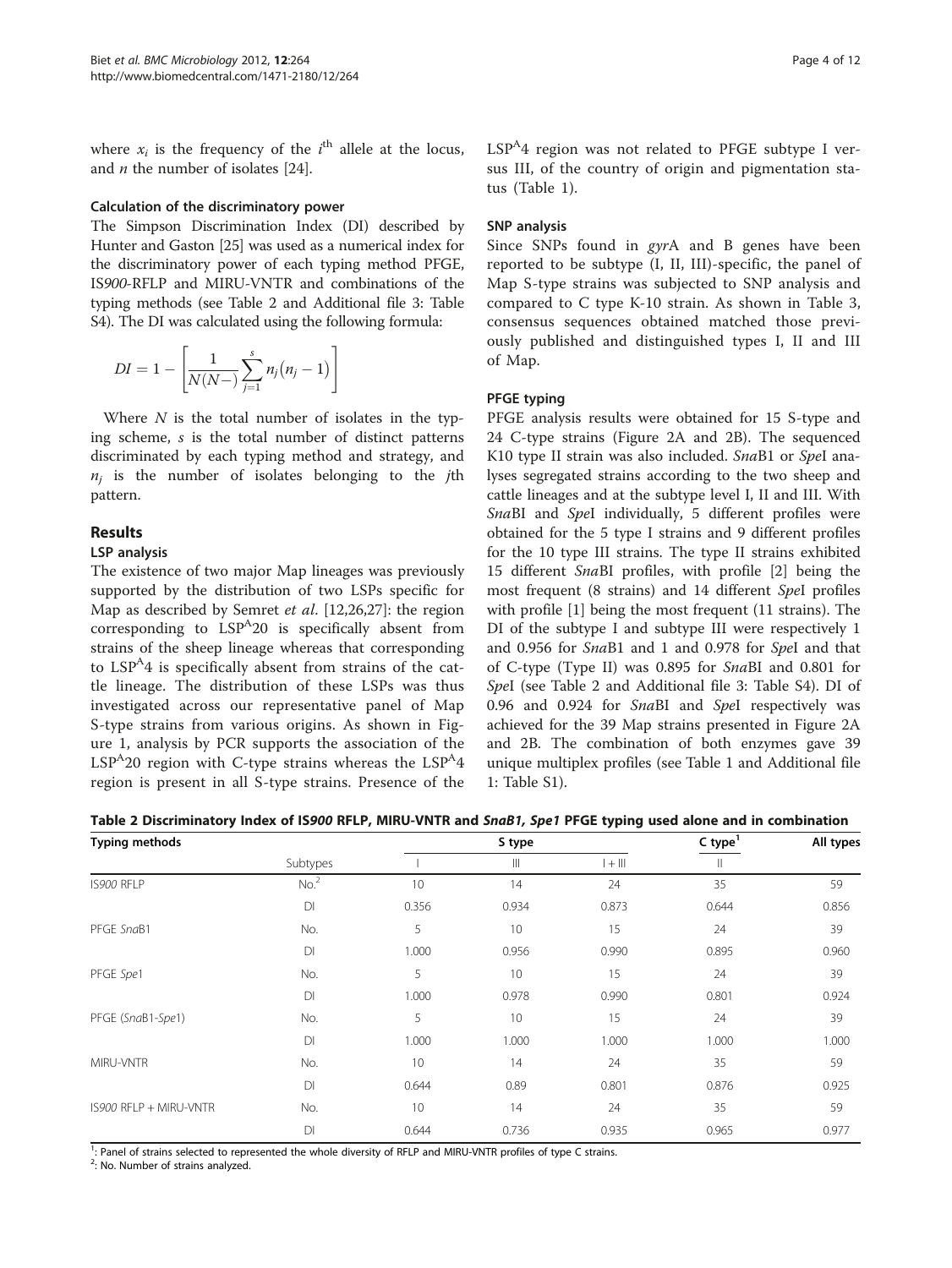<span id="page-3-0"></span>where  $x_i$  is the frequency of the *i*<sup>th</sup> allele at the locus, and  $n$  the number of isolates [[24](#page-11-0)].

#### Calculation of the discriminatory power

The Simpson Discrimination Index (DI) described by Hunter and Gaston [\[25\]](#page-11-0) was used as a numerical index for the discriminatory power of each typing method PFGE, IS900-RFLP and MIRU-VNTR and combinations of the typing methods (see Table 2 and Additional file [3:](#page-10-0) Table S4). The DI was calculated using the following formula:

$$
DI = 1 - \left[\frac{1}{N(N-1)}\sum_{j=1}^{s} n_j(n_j-1)\right]
$$

Where  $N$  is the total number of isolates in the typing scheme, s is the total number of distinct patterns discriminated by each typing method and strategy, and  $n_i$  is the number of isolates belonging to the jth pattern.

# Results

# LSP analysis

The existence of two major Map lineages was previously supported by the distribution of two LSPs specific for Map as described by Semret et al. [[12,26,27\]](#page-11-0): the region corresponding to  $LSP<sup>A</sup>20$  is specifically absent from strains of the sheep lineage whereas that corresponding to  $LSP^{\mathcal{A}}4$  is specifically absent from strains of the cattle lineage. The distribution of these LSPs was thus investigated across our representative panel of Map S-type strains from various origins. As shown in Figure [1](#page-4-0), analysis by PCR supports the association of the  $LSP<sup>A</sup>20$  region with C-type strains whereas the  $LSP<sup>A</sup>4$ region is present in all S-type strains. Presence of the  $LSP<sup>A</sup>4$  region was not related to PFGE subtype I versus III, of the country of origin and pigmentation status (Table [1](#page-2-0)).

# SNP analysis

Since SNPs found in gyrA and B genes have been reported to be subtype (I, II, III)-specific, the panel of Map S-type strains was subjected to SNP analysis and compared to C type K-10 strain. As shown in Table [3](#page-5-0), consensus sequences obtained matched those previously published and distinguished types I, II and III of Map.

# PFGE typing

PFGE analysis results were obtained for 15 S-type and 24 C-type strains (Figure [2A](#page-6-0) and [2B\)](#page-6-0). The sequenced K10 type II strain was also included. SnaB1 or SpeI analyses segregated strains according to the two sheep and cattle lineages and at the subtype level I, II and III. With SnaBI and SpeI individually, 5 different profiles were obtained for the 5 type I strains and 9 different profiles for the 10 type III strains. The type II strains exhibited 15 different SnaBI profiles, with profile [[2\]](#page-10-0) being the most frequent (8 strains) and 14 different SpeI profiles with profile [\[1](#page-10-0)] being the most frequent (11 strains). The DI of the subtype I and subtype III were respectively 1 and 0.956 for SnaB1 and 1 and 0.978 for SpeI and that of C-type (Type II) was 0.895 for SnaBI and 0.801 for SpeI (see Table 2 and Additional file [3:](#page-10-0) Table S4). DI of 0.96 and 0.924 for SnaBI and SpeI respectively was achieved for the 39 Map strains presented in Figure [2A](#page-6-0) and [2B.](#page-6-0) The combination of both enzymes gave 39 unique multiplex profiles (see Table [1](#page-2-0) and Additional file [1:](#page-10-0) Table S1).

Table 2 Discriminatory Index of IS900 RFLP, MIRU-VNTR and SnaB1, Spe1 PFGE typing used alone and in combination

| <b>Typing methods</b>  |                  |                 | S type                | $C$ type <sup>1</sup> | All types |       |
|------------------------|------------------|-----------------|-----------------------|-----------------------|-----------|-------|
|                        | Subtypes         |                 | $\parallel \parallel$ | $1 + 111$             |           |       |
| IS900 RFLP             | No. <sup>2</sup> | 10              | 14                    | 24                    | 35        | 59    |
|                        | D1               | 0.356           | 0.934                 | 0.873                 | 0.644     | 0.856 |
| PFGE SnaB1             | No.              | 5               | 10                    | 15                    | 24        | 39    |
|                        | DI               | 1.000           | 0.956                 | 0.990                 | 0.895     | 0.960 |
| PFGE Spe1              | No.              | 5               | 10                    | 15                    | 24        | 39    |
|                        | D1               | 1.000           | 0.978                 | 0.990                 | 0.801     | 0.924 |
| PFGE (SnaB1-Spe1)      | No.              | 5               | 10                    | 15                    | 24        | 39    |
|                        | DI               | 1.000           | 1.000                 | 1.000                 | 1.000     | 1.000 |
| MIRU-VNTR              | No.              | 10 <sup>°</sup> | 14                    | 24                    | 35        | 59    |
|                        | D1               | 0.644           | 0.89                  | 0.801                 | 0.876     | 0.925 |
| IS900 RFLP + MIRU-VNTR | No.              | 10              | 14                    | 24                    | 35        | 59    |
|                        | DI               | 0.644           | 0.736                 | 0.935                 | 0.965     | 0.977 |

<sup>1</sup>: Panel of strains selected to represented the whole diversity of RFLP and MIRU-VNTR profiles of type C strains.

<sup>2</sup>: No. Number of strains analyzed.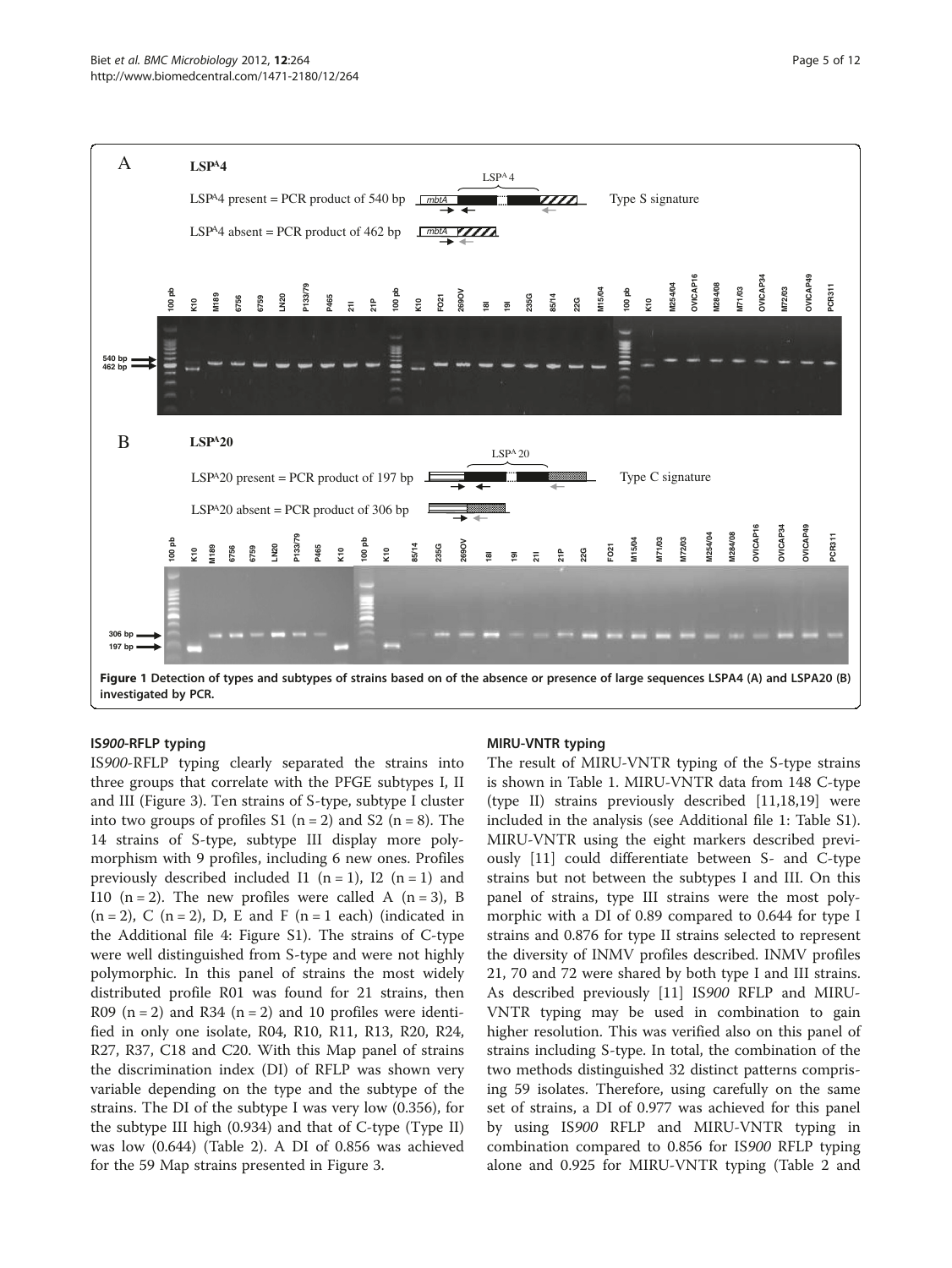<span id="page-4-0"></span>

investigated by PCR.

#### IS900-RFLP typing

IS900-RFLP typing clearly separated the strains into three groups that correlate with the PFGE subtypes I, II and III (Figure [3\)](#page-7-0). Ten strains of S-type, subtype I cluster into two groups of profiles S1  $(n = 2)$  and S2  $(n = 8)$ . The 14 strains of S-type, subtype III display more polymorphism with 9 profiles, including 6 new ones. Profiles previously described included I1 ( $n = 1$ ), I2 ( $n = 1$ ) and I10 (n = 2). The new profiles were called A (n = 3), B  $(n = 2)$ , C  $(n = 2)$ , D, E and F  $(n = 1$  each) (indicated in the Additional file [4](#page-10-0): Figure S1). The strains of C-type were well distinguished from S-type and were not highly polymorphic. In this panel of strains the most widely distributed profile R01 was found for 21 strains, then R09 ( $n = 2$ ) and R34 ( $n = 2$ ) and 10 profiles were identified in only one isolate, R04, R10, R11, R13, R20, R24, R27, R37, C18 and C20. With this Map panel of strains the discrimination index (DI) of RFLP was shown very variable depending on the type and the subtype of the strains. The DI of the subtype I was very low (0.356), for the subtype III high (0.934) and that of C-type (Type II) was low (0.644) (Table [2\)](#page-3-0). A DI of 0.856 was achieved for the 59 Map strains presented in Figure [3](#page-7-0).

#### MIRU-VNTR typing

The result of MIRU-VNTR typing of the S-type strains is shown in Table [1](#page-2-0). MIRU-VNTR data from 148 C-type (type II) strains previously described [\[11](#page-10-0)[,18,19\]](#page-11-0) were included in the analysis (see Additional file [1](#page-10-0): Table S1). MIRU-VNTR using the eight markers described previously [[11\]](#page-10-0) could differentiate between S- and C-type strains but not between the subtypes I and III. On this panel of strains, type III strains were the most polymorphic with a DI of 0.89 compared to 0.644 for type I strains and 0.876 for type II strains selected to represent the diversity of INMV profiles described. INMV profiles 21, 70 and 72 were shared by both type I and III strains. As described previously [\[11\]](#page-10-0) IS900 RFLP and MIRU-VNTR typing may be used in combination to gain higher resolution. This was verified also on this panel of strains including S-type. In total, the combination of the two methods distinguished 32 distinct patterns comprising 59 isolates. Therefore, using carefully on the same set of strains, a DI of 0.977 was achieved for this panel by using IS900 RFLP and MIRU-VNTR typing in combination compared to 0.856 for IS900 RFLP typing alone and 0.925 for MIRU-VNTR typing (Table [2](#page-3-0) and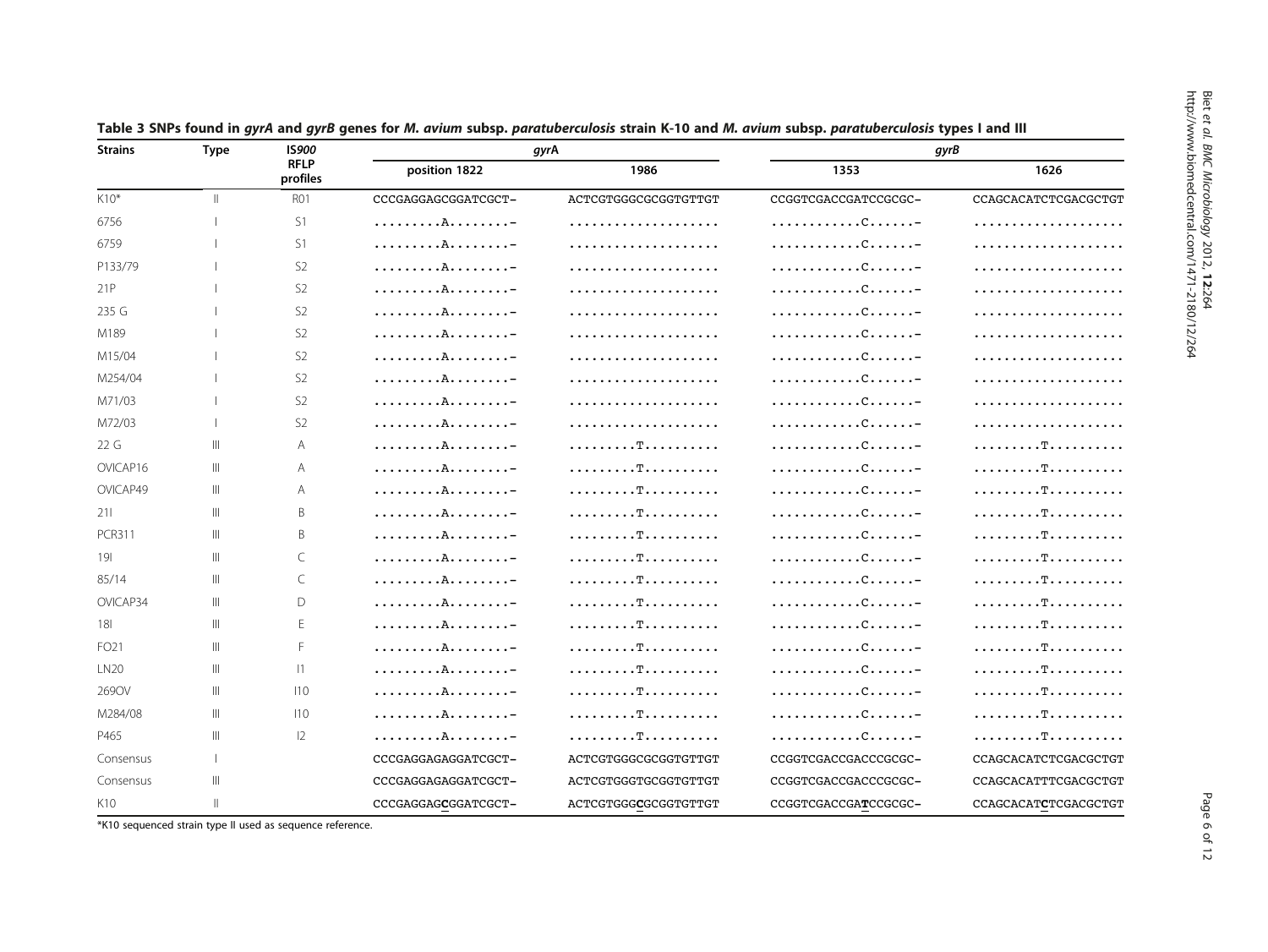| <b>Strains</b>      | <b>Type</b>  | <b>IS900</b>            |                     | gyrA                 | gyrB                 |                      |  |  |
|---------------------|--------------|-------------------------|---------------------|----------------------|----------------------|----------------------|--|--|
|                     |              | <b>RFLP</b><br>profiles | position 1822       | 1986                 | 1353                 | 1626                 |  |  |
| K10*<br>$\parallel$ |              | <b>R01</b>              | CCCGAGGAGCGGATCGCT- | ACTCGTGGGCGCGGTGTTGT | CCGGTCGACCGATCCGCGC- | CCAGCACATCTCGACGCTGT |  |  |
| 6756                |              | S1                      | . A -               | .                    |                      | .                    |  |  |
| 6759                |              | S1                      | . A -               | .                    |                      | .                    |  |  |
| P133/79             |              | S <sub>2</sub>          | . A -               | .                    |                      |                      |  |  |
| 21P                 |              | S <sub>2</sub>          | . A -               |                      |                      |                      |  |  |
| 235 G               |              | S <sub>2</sub>          | . A -               |                      |                      |                      |  |  |
| M189                |              | S <sub>2</sub>          | . A -               |                      |                      |                      |  |  |
| M15/04              |              | S <sub>2</sub>          | . A -               | .                    |                      |                      |  |  |
| M254/04             |              | S <sub>2</sub>          | . A. -              | .                    |                      |                      |  |  |
| M71/03              |              | S <sub>2</sub>          | . A -               |                      |                      |                      |  |  |
| M72/03              |              | S <sub>2</sub>          | . A -               |                      |                      |                      |  |  |
| 22 G                | Ш            | A                       | . A -               |                      |                      |                      |  |  |
| OVICAP16            | Ш            | A                       | . A -               |                      |                      |                      |  |  |
| OVICAP49            | Ш            | A                       | . A. -              |                      |                      | . T.                 |  |  |
| 211                 | Ш            | Β                       | . A -               |                      |                      |                      |  |  |
| <b>PCR311</b>       | Ш            | B                       | . A -               |                      |                      | . T.                 |  |  |
| 191                 | Ш            | C                       | . A -               |                      |                      |                      |  |  |
| 85/14               | Ш            | C                       | . A -               | . T.                 |                      | . T.                 |  |  |
| OVICAP34            | Ш            | D                       | . A -               |                      |                      |                      |  |  |
| 181                 | Ш            | E                       | . A -               |                      |                      | . T.                 |  |  |
| FO21                | Ш            | F.                      | . A -               |                      |                      |                      |  |  |
| <b>LN20</b>         | Ш            | 1                       | . A -               |                      |                      | . T.                 |  |  |
| 2690V               | Ш            | 110                     | . A -               |                      |                      | . T.                 |  |  |
| M284/08             | Ш            | 110                     | . A -               |                      |                      |                      |  |  |
| P465                | Ш            | 12                      | . A -               | . T.                 |                      |                      |  |  |
| Consensus           | $\mathbf{I}$ |                         | CCCGAGGAGAGGATCGCT- | ACTCGTGGGCGCGGTGTTGT | CCGGTCGACCGACCCGCGC- | CCAGCACATCTCGACGCTGT |  |  |
| Consensus           | Ш            |                         | CCCGAGGAGAGGATCGCT- | ACTCGTGGGTGCGGTGTTGT | CCGGTCGACCGACCCGCGC- | CCAGCACATTTCGACGCTGT |  |  |
| K10                 | $\mathbb{I}$ |                         | CCCGAGGAGCGGATCGCT- | ACTCGTGGGCGCGGTGTTGT | CCGGTCGACCGATCCGCGC- | CCAGCACATCTCGACGCTGT |  |  |

<span id="page-5-0"></span>Table 3 SNPs found in avrA and avrB genes for M. avium subsp. paratuberculosis strain K-10 and M. avium subsp. paratuberculosis types I and III

\*K10 sequenced strain type II used as sequence reference.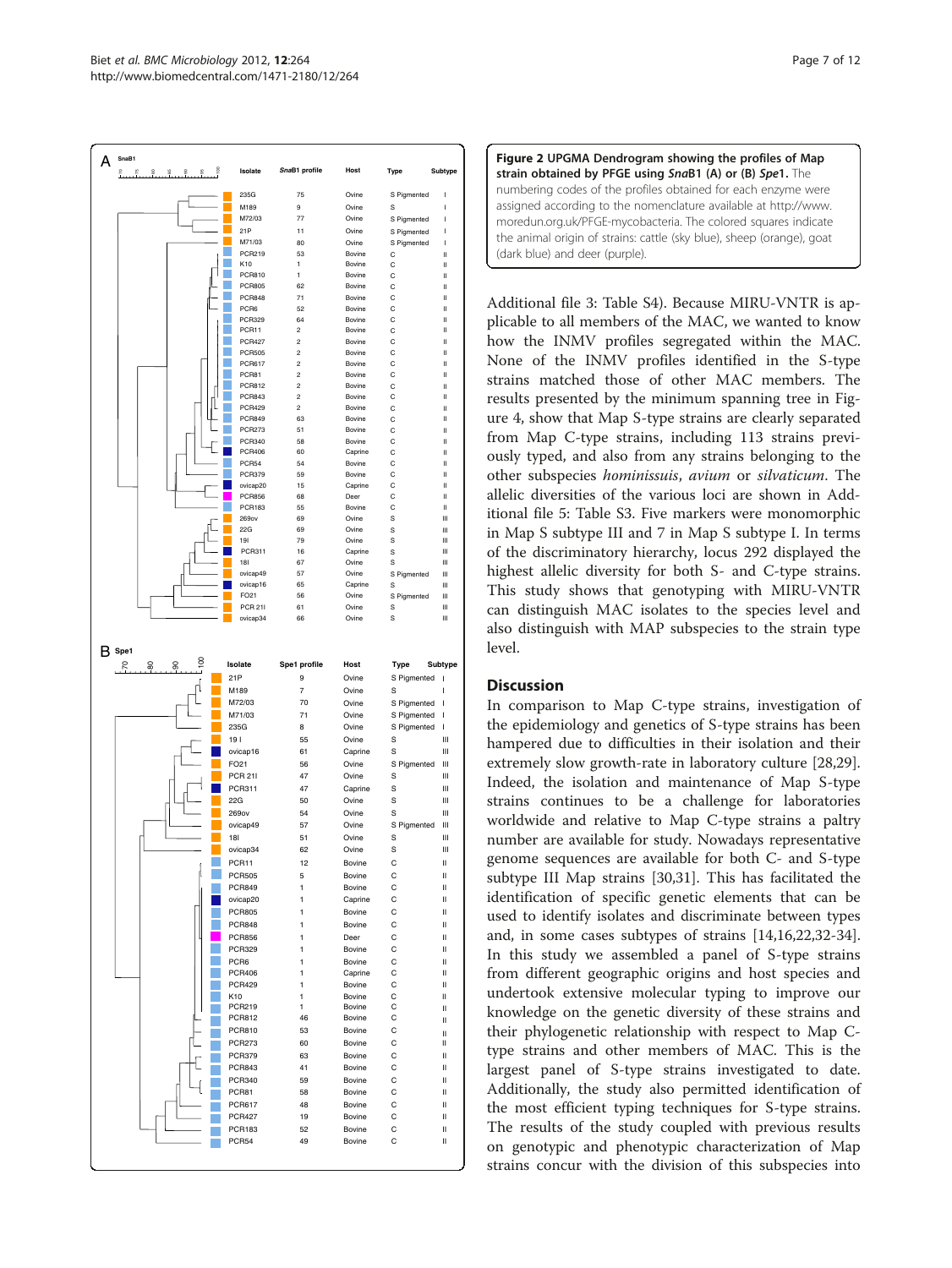<span id="page-6-0"></span>

| Figure 2 UPGMA Dendrogram showing the profiles of Map                 |
|-----------------------------------------------------------------------|
| strain obtained by PFGE using SnaB1 (A) or (B) Spe1. The              |
| numbering codes of the profiles obtained for each enzyme were         |
| assigned according to the nomenclature available at http://www.       |
| moredun.org.uk/PFGE-mycobacteria. The colored squares indicate        |
| the animal origin of strains: cattle (sky blue), sheep (orange), goat |
| (dark blue) and deer (purple).                                        |

Additional file [3:](#page-10-0) Table S4). Because MIRU-VNTR is applicable to all members of the MAC, we wanted to know how the INMV profiles segregated within the MAC. None of the INMV profiles identified in the S-type strains matched those of other MAC members. The results presented by the minimum spanning tree in Figure [4](#page-9-0), show that Map S-type strains are clearly separated from Map C-type strains, including 113 strains previously typed, and also from any strains belonging to the other subspecies hominissuis, avium or silvaticum. The allelic diversities of the various loci are shown in Additional file [5:](#page-10-0) Table S3. Five markers were monomorphic in Map S subtype III and 7 in Map S subtype I. In terms of the discriminatory hierarchy, locus 292 displayed the highest allelic diversity for both S- and C-type strains. This study shows that genotyping with MIRU-VNTR can distinguish MAC isolates to the species level and also distinguish with MAP subspecies to the strain type level.

# **Discussion**

In comparison to Map C-type strains, investigation of the epidemiology and genetics of S-type strains has been hampered due to difficulties in their isolation and their extremely slow growth-rate in laboratory culture [\[28,29](#page-11-0)]. Indeed, the isolation and maintenance of Map S-type strains continues to be a challenge for laboratories worldwide and relative to Map C-type strains a paltry number are available for study. Nowadays representative genome sequences are available for both C- and S-type subtype III Map strains [[30,31\]](#page-11-0). This has facilitated the identification of specific genetic elements that can be used to identify isolates and discriminate between types and, in some cases subtypes of strains [\[14,16,22,32-34](#page-11-0)]. In this study we assembled a panel of S-type strains from different geographic origins and host species and undertook extensive molecular typing to improve our knowledge on the genetic diversity of these strains and their phylogenetic relationship with respect to Map Ctype strains and other members of MAC. This is the largest panel of S-type strains investigated to date. Additionally, the study also permitted identification of the most efficient typing techniques for S-type strains. The results of the study coupled with previous results on genotypic and phenotypic characterization of Map strains concur with the division of this subspecies into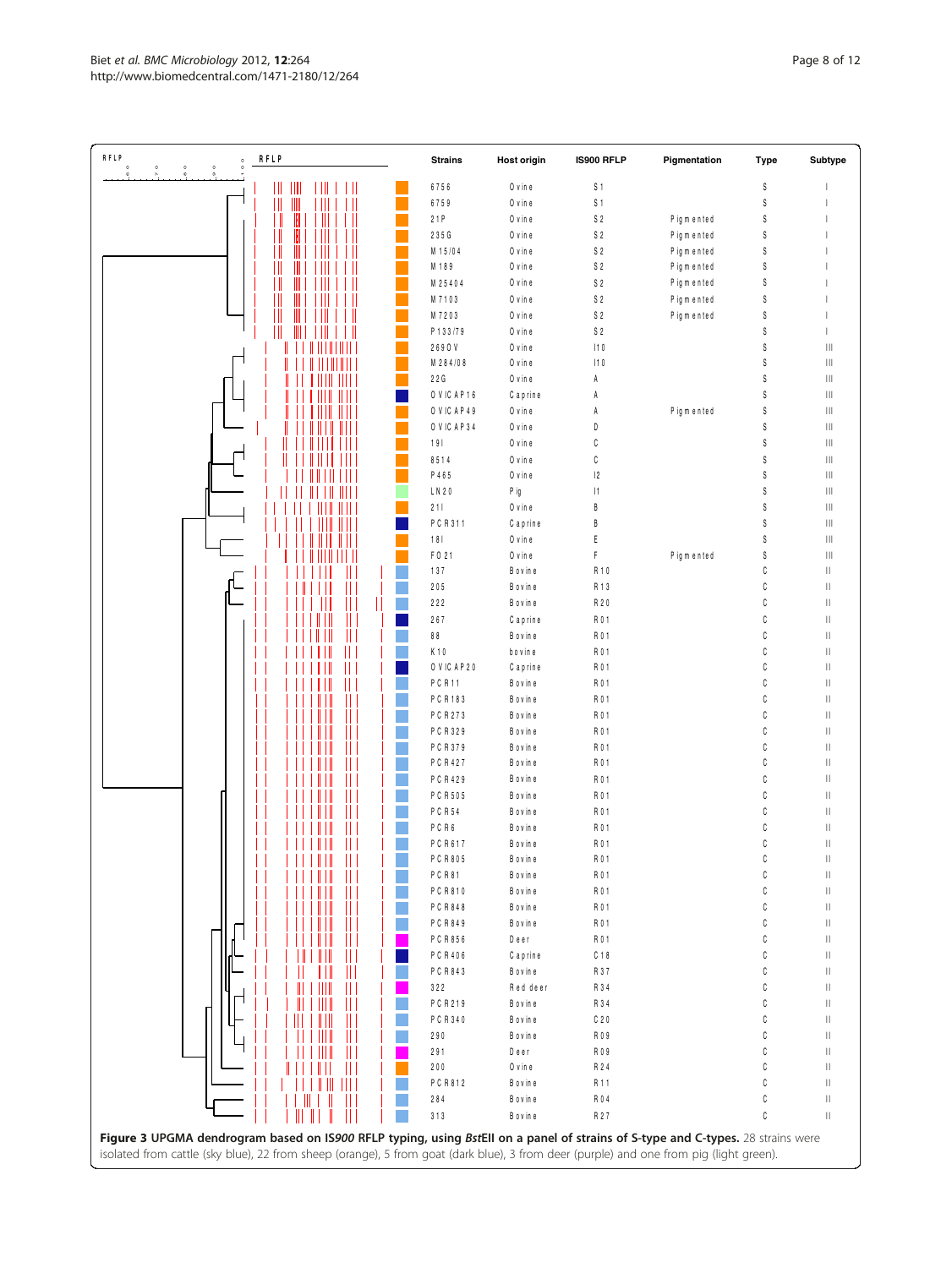<span id="page-7-0"></span>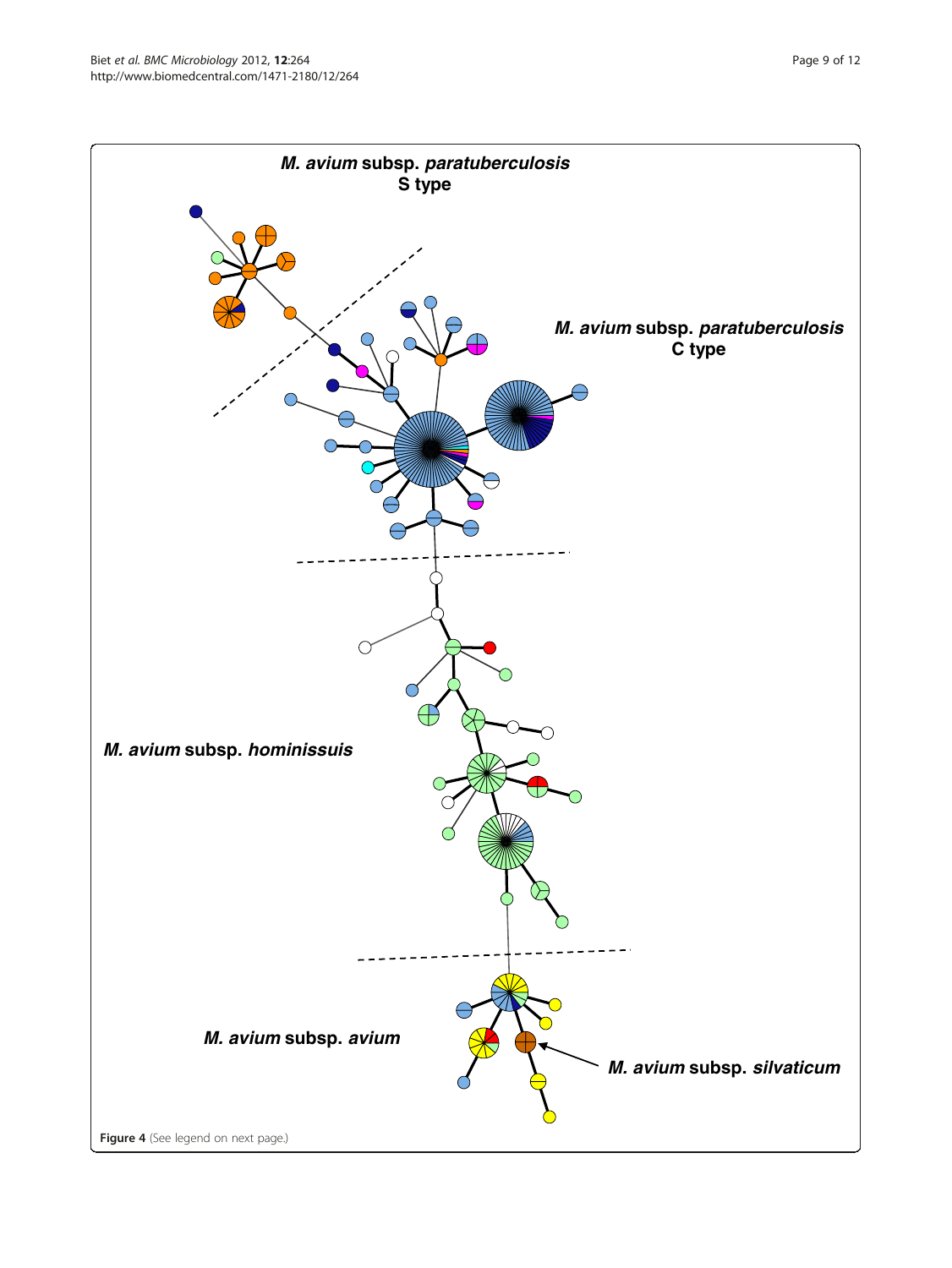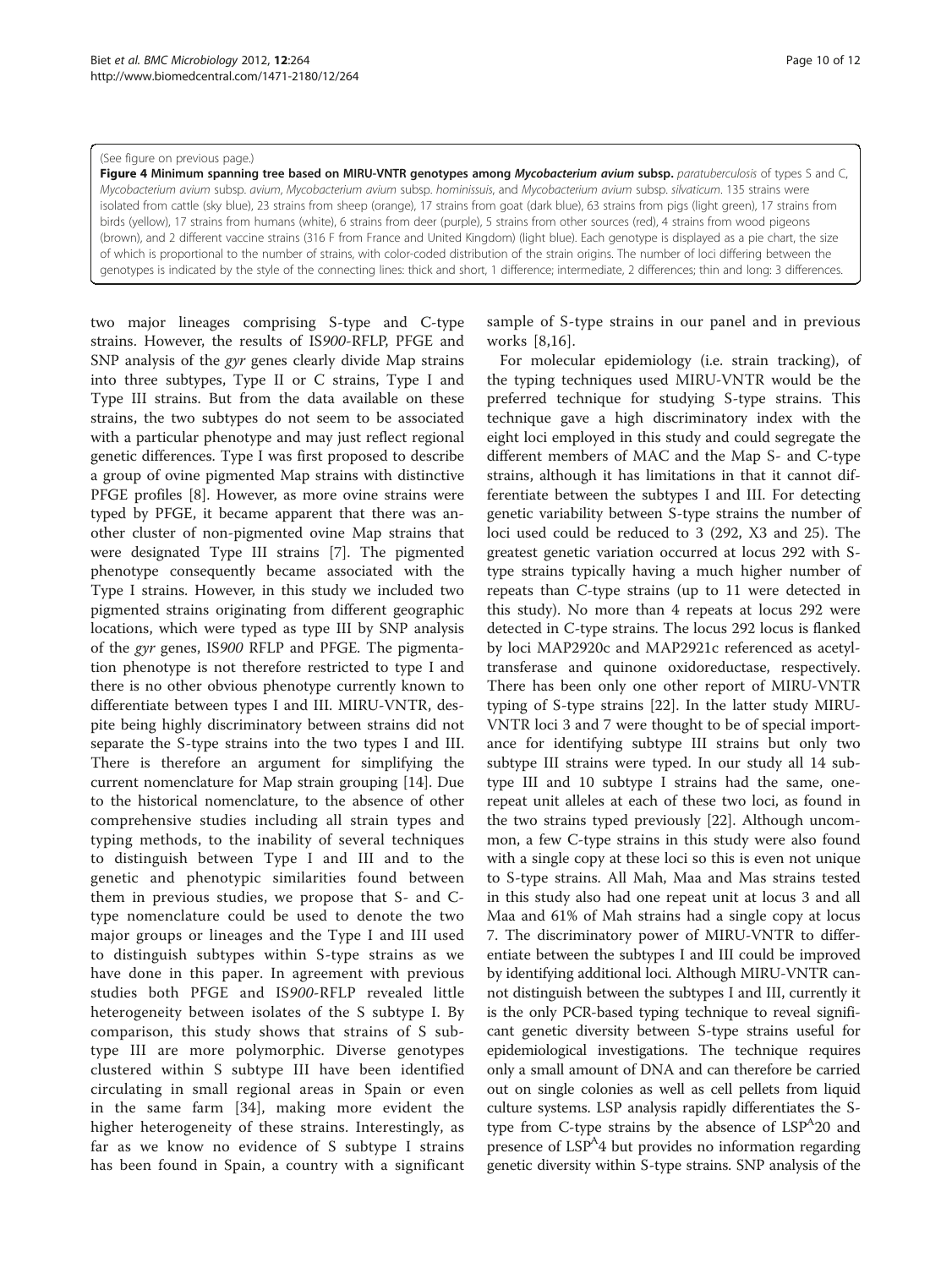#### <span id="page-9-0"></span>(See figure on previous page.)

Figure 4 Minimum spanning tree based on MIRU-VNTR genotypes among Mycobacterium avium subsp. paratuberculosis of types S and C, Mycobacterium avium subsp. avium, Mycobacterium avium subsp. hominissuis, and Mycobacterium avium subsp. silvaticum. 135 strains were isolated from cattle (sky blue), 23 strains from sheep (orange), 17 strains from goat (dark blue), 63 strains from pigs (light green), 17 strains from birds (yellow), 17 strains from humans (white), 6 strains from deer (purple), 5 strains from other sources (red), 4 strains from wood pigeons (brown), and 2 different vaccine strains (316 F from France and United Kingdom) (light blue). Each genotype is displayed as a pie chart, the size of which is proportional to the number of strains, with color-coded distribution of the strain origins. The number of loci differing between the genotypes is indicated by the style of the connecting lines: thick and short, 1 difference; intermediate, 2 differences; thin and long: 3 differences.

two major lineages comprising S-type and C-type strains. However, the results of IS900-RFLP, PFGE and SNP analysis of the gyr genes clearly divide Map strains into three subtypes, Type II or C strains, Type I and Type III strains. But from the data available on these strains, the two subtypes do not seem to be associated with a particular phenotype and may just reflect regional genetic differences. Type I was first proposed to describe a group of ovine pigmented Map strains with distinctive PFGE profiles [\[8](#page-10-0)]. However, as more ovine strains were typed by PFGE, it became apparent that there was another cluster of non-pigmented ovine Map strains that were designated Type III strains [\[7\]](#page-10-0). The pigmented phenotype consequently became associated with the Type I strains. However, in this study we included two pigmented strains originating from different geographic locations, which were typed as type III by SNP analysis of the gyr genes, IS900 RFLP and PFGE. The pigmentation phenotype is not therefore restricted to type I and there is no other obvious phenotype currently known to differentiate between types I and III. MIRU-VNTR, despite being highly discriminatory between strains did not separate the S-type strains into the two types I and III. There is therefore an argument for simplifying the current nomenclature for Map strain grouping [\[14](#page-11-0)]. Due to the historical nomenclature, to the absence of other comprehensive studies including all strain types and typing methods, to the inability of several techniques to distinguish between Type I and III and to the genetic and phenotypic similarities found between them in previous studies, we propose that S- and Ctype nomenclature could be used to denote the two major groups or lineages and the Type I and III used to distinguish subtypes within S-type strains as we have done in this paper. In agreement with previous studies both PFGE and IS900-RFLP revealed little heterogeneity between isolates of the S subtype I. By comparison, this study shows that strains of S subtype III are more polymorphic. Diverse genotypes clustered within S subtype III have been identified circulating in small regional areas in Spain or even in the same farm [\[34](#page-11-0)], making more evident the higher heterogeneity of these strains. Interestingly, as far as we know no evidence of S subtype I strains has been found in Spain, a country with a significant

sample of S-type strains in our panel and in previous works [[8](#page-10-0),[16\]](#page-11-0).

For molecular epidemiology (i.e. strain tracking), of the typing techniques used MIRU-VNTR would be the preferred technique for studying S-type strains. This technique gave a high discriminatory index with the eight loci employed in this study and could segregate the different members of MAC and the Map S- and C-type strains, although it has limitations in that it cannot differentiate between the subtypes I and III. For detecting genetic variability between S-type strains the number of loci used could be reduced to 3 (292, X3 and 25). The greatest genetic variation occurred at locus 292 with Stype strains typically having a much higher number of repeats than C-type strains (up to 11 were detected in this study). No more than 4 repeats at locus 292 were detected in C-type strains. The locus 292 locus is flanked by loci MAP2920c and MAP2921c referenced as acetyltransferase and quinone oxidoreductase, respectively. There has been only one other report of MIRU-VNTR typing of S-type strains [[22\]](#page-11-0). In the latter study MIRU-VNTR loci 3 and 7 were thought to be of special importance for identifying subtype III strains but only two subtype III strains were typed. In our study all 14 subtype III and 10 subtype I strains had the same, onerepeat unit alleles at each of these two loci, as found in the two strains typed previously [\[22](#page-11-0)]. Although uncommon, a few C-type strains in this study were also found with a single copy at these loci so this is even not unique to S-type strains. All Mah, Maa and Mas strains tested in this study also had one repeat unit at locus 3 and all Maa and 61% of Mah strains had a single copy at locus 7. The discriminatory power of MIRU-VNTR to differentiate between the subtypes I and III could be improved by identifying additional loci. Although MIRU-VNTR cannot distinguish between the subtypes I and III, currently it is the only PCR-based typing technique to reveal significant genetic diversity between S-type strains useful for epidemiological investigations. The technique requires only a small amount of DNA and can therefore be carried out on single colonies as well as cell pellets from liquid culture systems. LSP analysis rapidly differentiates the Stype from C-type strains by the absence of  $LSP^420$  and presence of LSP<sup>A</sup>4 but provides no information regarding genetic diversity within S-type strains. SNP analysis of the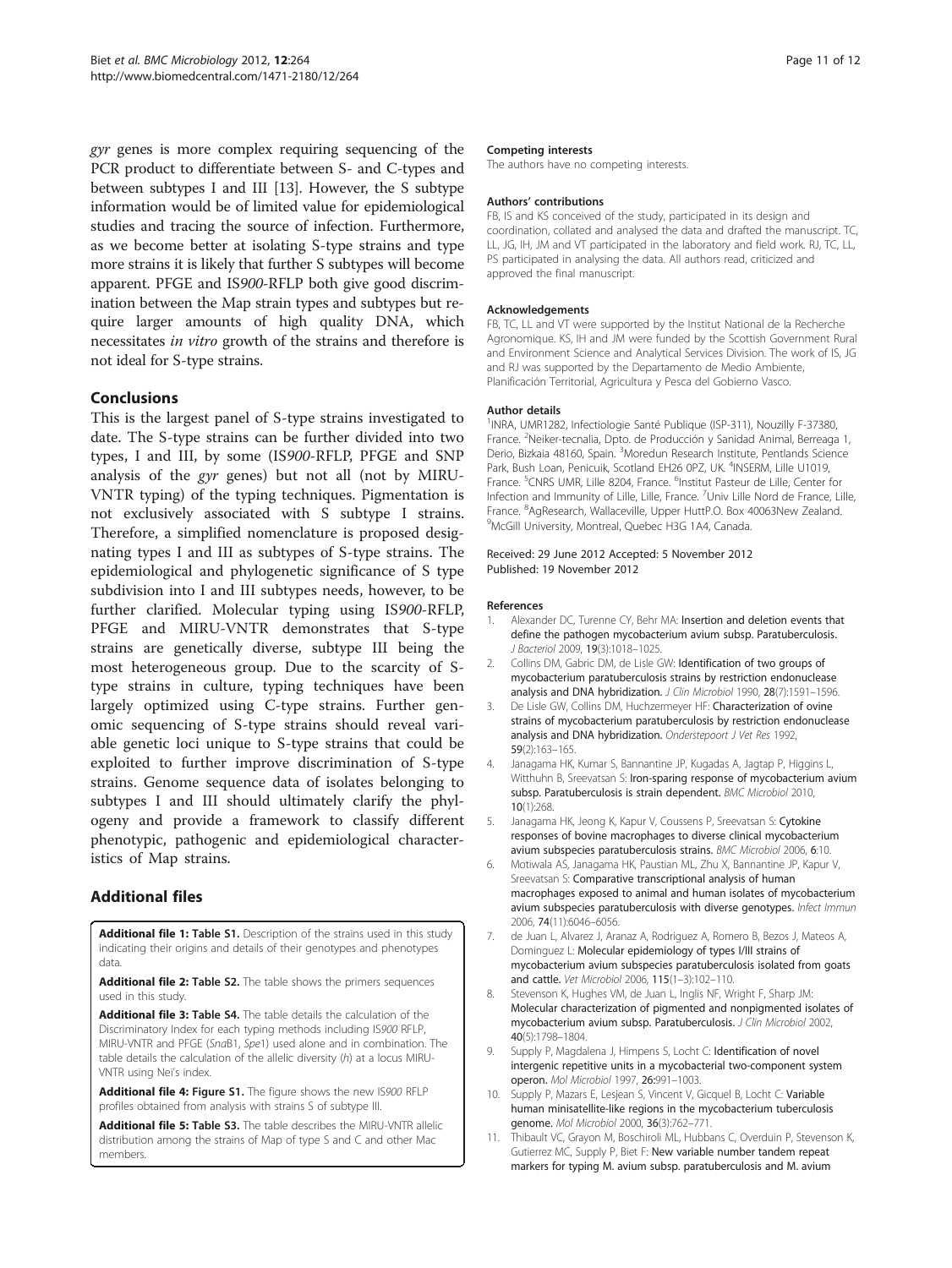<span id="page-10-0"></span>gyr genes is more complex requiring sequencing of the PCR product to differentiate between S- and C-types and between subtypes I and III [\[13](#page-11-0)]. However, the S subtype information would be of limited value for epidemiological studies and tracing the source of infection. Furthermore, as we become better at isolating S-type strains and type more strains it is likely that further S subtypes will become apparent. PFGE and IS900-RFLP both give good discrimination between the Map strain types and subtypes but require larger amounts of high quality DNA, which necessitates in vitro growth of the strains and therefore is not ideal for S-type strains.

# Conclusions

This is the largest panel of S-type strains investigated to date. The S-type strains can be further divided into two types, I and III, by some (IS900-RFLP, PFGE and SNP analysis of the gyr genes) but not all (not by MIRU-VNTR typing) of the typing techniques. Pigmentation is not exclusively associated with S subtype I strains. Therefore, a simplified nomenclature is proposed designating types I and III as subtypes of S-type strains. The epidemiological and phylogenetic significance of S type subdivision into I and III subtypes needs, however, to be further clarified. Molecular typing using IS900-RFLP, PFGE and MIRU-VNTR demonstrates that S-type strains are genetically diverse, subtype III being the most heterogeneous group. Due to the scarcity of Stype strains in culture, typing techniques have been largely optimized using C-type strains. Further genomic sequencing of S-type strains should reveal variable genetic loci unique to S-type strains that could be exploited to further improve discrimination of S-type strains. Genome sequence data of isolates belonging to subtypes I and III should ultimately clarify the phylogeny and provide a framework to classify different phenotypic, pathogenic and epidemiological characteristics of Map strains.

# Additional files

[Additional file 1:](http://www.biomedcentral.com/content/supplementary/1471-2180-12-264-S1.xls) Table S1. Description of the strains used in this study indicating their origins and details of their genotypes and phenotypes data.

[Additional file 2:](http://www.biomedcentral.com/content/supplementary/1471-2180-12-264-S2.xls) Table S2. The table shows the primers sequences used in this study.

[Additional file 3:](http://www.biomedcentral.com/content/supplementary/1471-2180-12-264-S3.xls) Table S4. The table details the calculation of the Discriminatory Index for each typing methods including IS900 RFLP, MIRU-VNTR and PFGE (SnaB1, Spe1) used alone and in combination. The table details the calculation of the allelic diversity (h) at a locus MIRU-VNTR using Nei's index.

[Additional file 4:](http://www.biomedcentral.com/content/supplementary/1471-2180-12-264-S4.ppt) Figure S1. The figure shows the new IS900 RFLP profiles obtained from analysis with strains S of subtype III.

[Additional file 5:](http://www.biomedcentral.com/content/supplementary/1471-2180-12-264-S5.docx) Table S3. The table describes the MIRU-VNTR allelic distribution among the strains of Map of type S and C and other Mac members.

#### Competing interests

The authors have no competing interests.

#### Authors' contributions

FB, IS and KS conceived of the study, participated in its design and coordination, collated and analysed the data and drafted the manuscript. TC, LL, JG, IH, JM and VT participated in the laboratory and field work. RJ, TC, LL, PS participated in analysing the data. All authors read, criticized and approved the final manuscript.

#### Acknowledgements

FB, TC, LL and VT were supported by the Institut National de la Recherche Agronomique. KS, IH and JM were funded by the Scottish Government Rural and Environment Science and Analytical Services Division. The work of IS, JG and RJ was supported by the Departamento de Medio Ambiente, Planificación Territorial, Agricultura y Pesca del Gobierno Vasco.

#### Author details

<sup>1</sup>INRA, UMR1282, Infectiologie Santé Publique (ISP-311), Nouzilly F-37380 France. <sup>2</sup>Neiker-tecnalia, Dpto. de Producción y Sanidad Animal, Berreaga 1, Derio, Bizkaia 48160, Spain. <sup>3</sup>Moredun Research Institute, Pentlands Science Park, Bush Loan, Penicuik, Scotland EH26 0PZ, UK. <sup>4</sup>INSERM, Lille U1019 France. <sup>5</sup>CNRS UMR, Lille 8204, France. <sup>6</sup>Institut Pasteur de Lille, Center for Infection and Immunity of Lille, Lille, France. <sup>7</sup>Univ Lille Nord de France, Lille, France. <sup>8</sup>AgResearch, Wallaceville, Upper HuttP.O. Box 40063New Zealand.<br><sup>9</sup>McGill University, Montroal, Queboc H3G 1A4, Capada. <sup>9</sup>McGill University, Montreal, Quebec H3G 1A4, Canada.

#### Received: 29 June 2012 Accepted: 5 November 2012 Published: 19 November 2012

#### References

- 1. Alexander DC, Turenne CY, Behr MA: Insertion and deletion events that define the pathogen mycobacterium avium subsp. Paratuberculosis. J Bacteriol 2009, 19(3):1018–1025.
- 2. Collins DM, Gabric DM, de Lisle GW: Identification of two groups of mycobacterium paratuberculosis strains by restriction endonuclease analysis and DNA hybridization. J Clin Microbiol 1990, 28(7):1591-1596.
- De Lisle GW, Collins DM, Huchzermeyer HF: Characterization of ovine strains of mycobacterium paratuberculosis by restriction endonuclease analysis and DNA hybridization. Onderstepoort J Vet Res 1992, 59(2):163–165.
- 4. Janagama HK, Kumar S, Bannantine JP, Kugadas A, Jagtap P, Higgins L, Witthuhn B, Sreevatsan S: Iron-sparing response of mycobacterium avium subsp. Paratuberculosis is strain dependent. BMC Microbiol 2010, 10(1):268.
- 5. Janagama HK, Jeong K, Kapur V, Coussens P, Sreevatsan S: Cytokine responses of bovine macrophages to diverse clinical mycobacterium avium subspecies paratuberculosis strains. BMC Microbiol 2006, 6:10.
- 6. Motiwala AS, Janagama HK, Paustian ML, Zhu X, Bannantine JP, Kapur V, Sreevatsan S: Comparative transcriptional analysis of human macrophages exposed to animal and human isolates of mycobacterium avium subspecies paratuberculosis with diverse genotypes. Infect Immun 2006, 74(11):6046–6056.
- 7. de Juan L, Alvarez J, Aranaz A, Rodriguez A, Romero B, Bezos J, Mateos A, Dominguez L: Molecular epidemiology of types I/III strains of mycobacterium avium subspecies paratuberculosis isolated from goats and cattle. Vet Microbiol 2006, 115(1–3):102–110.
- 8. Stevenson K, Hughes VM, de Juan L, Inglis NF, Wright F, Sharp JM: Molecular characterization of pigmented and nonpigmented isolates of mycobacterium avium subsp. Paratuberculosis. J Clin Microbiol 2002, 40(5):1798–1804.
- 9. Supply P, Magdalena J, Himpens S, Locht C: Identification of novel intergenic repetitive units in a mycobacterial two-component system operon. Mol Microbiol 1997, 26:991–1003.
- 10. Supply P, Mazars E, Lesjean S, Vincent V, Gicquel B, Locht C: Variable human minisatellite-like regions in the mycobacterium tuberculosis genome. Mol Microbiol 2000, 36(3):762–771.
- 11. Thibault VC, Grayon M, Boschiroli ML, Hubbans C, Overduin P, Stevenson K, Gutierrez MC, Supply P, Biet F: New variable number tandem repeat markers for typing M. avium subsp. paratuberculosis and M. avium